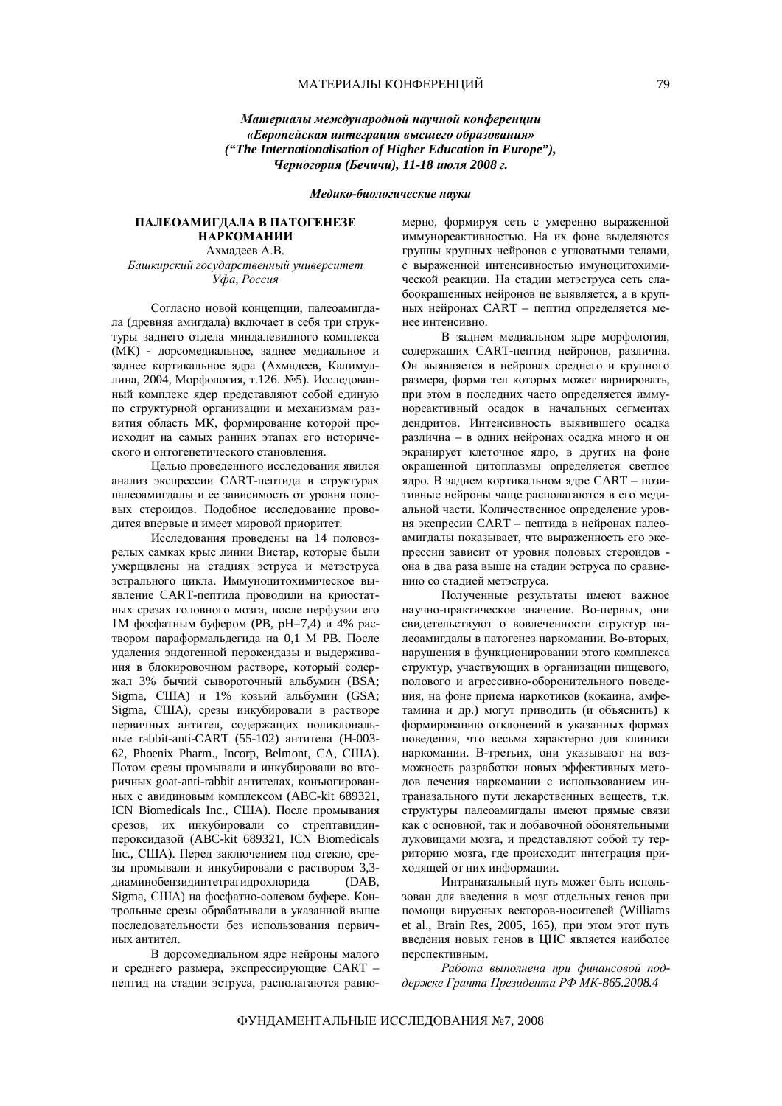## МАТЕРИАЛЫ КОНФЕРЕНЦИЙ 79

Материалы международной научной конференции «Европейская интеграция высшего образования» *("The Internationalisation of Higher Education in Europe"), ɑɟɪɧɨɝɨɪɢɹ (Ȼɟɱɢɱɢ), 11-18 ɢɸɥɹ 2008 ɝ.*

Медико-биологические науки

## ПАЛЕОАМИГДАЛА В ПАТОГЕНЕЗЕ **НАРКОМАНИИ** Ахмадеев А.В.

Башкирский государственный университет  $V$ фа, Россия

Согласно новой концепции, палеоамигдала (древняя амигдала) включает в себя три структуры заднего отдела миндалевидного комплекса (МК) - дорсомедиальное, заднее медиальное и залнее кортикальное ялра (Ахмалеев, Калимуллина, 2004, Морфология, т.126. №5). Исследованный комплекс ядер представляют собой единую по структурной организации и механизмам развития область МК, формирование которой происходит на самых ранних этапах его исторического и онтогенетического становления.

Целью проведенного исследования явился анализ экспрессии CART-пептида в структурах палеоамиглалы и ее зависимость от уровня половых стероидов. Подобное исследование проводится впервые и имеет мировой приоритет.

Исследования проведены на 14 половозрелых самках крыс линии Вистар, которые были умерщвлены на стадиях эструса и метэструса • острального цикла. Иммуноцитохимическое выявление CART-пептида проводили на криостатных срезах головного мозга, после перфузии его 1М фосфатным буфером (PB, pH=7,4) и 4% рас- $T$ вором параформальдегида на 0,1 М РВ. После удаления эндогенной пероксидазы и выдерживания в блокировочном растворе, который содержал 3% бычий сывороточный альбумин (BSA; Sigma, США) и 1% козьий альбумин (GSA; Sigma, CШA), срезы инкубировали в растворе первичных антител, содержащих поликлональные rabbit-anti-CART (55-102) антитела (H-003-62, Phoenix Pharm., Incorp, Belmont, CA, CIIIA). Потом срезы промывали и инкубировали во вторичных goat-anti-rabbit антителах, конъюгированных с авидиновым комплексом (ABC-kit 689321, ICN Biomedicals Inc., США). После промывания срезов, их инкубировали со стрептавидинпероксидазой (ABC-kit 689321, ICN Biomedicals Inc., США). Перед заключением под стекло, срезы промывали и инкубировали с раствором 3,3диаминобензидинтетрагидрохлорида (DAB, Sigma, США) на фосфатно-солевом буфере. Контрольные срезы обрабатывали в указанной выше последовательности без использования первичных антител.

В дорсомедиальном ядре нейроны малого и среднего размера, экспрессирующие CART пептид на стадии эструса, располагаются равномерно, формируя сеть с умеренно выраженной KWAYHOPeaKTHBHOCTLHO. На их фоне выделяются группы крупных нейронов с угловатыми телами, с выраженной интенсивностью имуноцитохимической реакции. На стадии метэструса сеть слабоокрашенных нейронов не выявляется, а в крупных нейронах CART – пептид определяется менее интенсивно.

В заднем медиальном ядре морфология, содержащих CART-пептид нейронов, различна. Он выявляется в нейронах среднего и крупного размера, форма тел которых может вариировать, при этом в последних часто определяется иммунореактивный осадок в начальных сегментах дендритов. Интенсивность выявившего осадка различна – в одних нейронах осадка много и он экранирует клеточное ядро, в других на фоне окрашенной цитоплазмы определяется светлое ядро. В заднем кортикальном ядре CART – пози-TИВНЫЕ НЕЙРОНЫ ЧАЩЕ РАСПОЛАТАЮТСЯ В ЕГО МЕЛИальной части. Количественное определение уровня экспресии CART – пептида в нейронах палеоамигдалы показывает, что выраженность его экспрессии зависит от уровня половых стероидов она в два раза выше на стадии эструса по сравнению со стадией метэструса.

Полученные результаты имеют важное научно-практическое значение. Во-первых, они свидетельствуют о вовлеченности структур палеоамиглалы в патогенез наркомании. Во-вторых. нарушения в функционировании этого комплекса структур, участвующих в организации пищевого, полового и агрессивно-оборонительного поведения, на фоне приема наркотиков (кокаина, амфетамина и др.) могут приводить (и объяснить) к формированию отклонений в указанных формах поведения, что весьма характерно для клиники наркомании. В-третьих, они указывают на возможность разработки новых эффективных методов лечения наркомании с использованием интраназального пути лекарственных веществ, т.к. структуры палеоамигдалы имеют прямые связи как с основной, так и добавочной обонятельными луковицами мозга, и представляют собой ту территорию мозга, где происходит интеграция приходящей от них информации.

Интраназальный путь может быть использован для введения в мозг отдельных генов при помощи вирусных векторов-носителей (Williams et al., Brain Res, 2005, 165), при этом этот путь введения новых генов в ЦНС является наиболее перспективным.

Работа выполнена при финансовой поддержке Гранта Президента РФ МК-865.2008.4